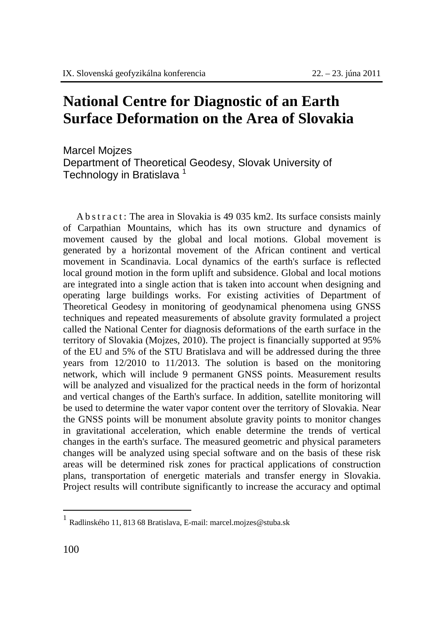## **National Centre for Diagnostic of an Earth Surface Deformation on the Area of Slovakia**

Marcel Mojzes Department of Theoretical Geodesy, Slovak University of Technology in Bratislava<sup>1</sup>

 Abstract: The area in Slovakia is 49 035 km2. Its surface consists mainly of Carpathian Mountains, which has its own structure and dynamics of movement caused by the global and local motions. Global movement is generated by a horizontal movement of the African continent and vertical movement in Scandinavia. Local dynamics of the earth's surface is reflected local ground motion in the form uplift and subsidence. Global and local motions are integrated into a single action that is taken into account when designing and operating large buildings works. For existing activities of Department of Theoretical Geodesy in monitoring of geodynamical phenomena using GNSS techniques and repeated measurements of absolute gravity formulated a project called the National Center for diagnosis deformations of the earth surface in the territory of Slovakia (Mojzes, 2010). The project is financially supported at 95% of the EU and 5% of the STU Bratislava and will be addressed during the three years from 12/2010 to 11/2013. The solution is based on the monitoring network, which will include 9 permanent GNSS points. Measurement results will be analyzed and visualized for the practical needs in the form of horizontal and vertical changes of the Earth's surface. In addition, satellite monitoring will be used to determine the water vapor content over the territory of Slovakia. Near the GNSS points will be monument absolute gravity points to monitor changes in gravitational acceleration, which enable determine the trends of vertical changes in the earth's surface. The measured geometric and physical parameters changes will be analyzed using special software and on the basis of these risk areas will be determined risk zones for practical applications of construction plans, transportation of energetic materials and transfer energy in Slovakia. Project results will contribute significantly to increase the accuracy and optimal

 $\overline{a}$ 

<sup>1</sup> Radlinského 11, 813 68 Bratislava, E-mail: marcel.mojzes@stuba.sk